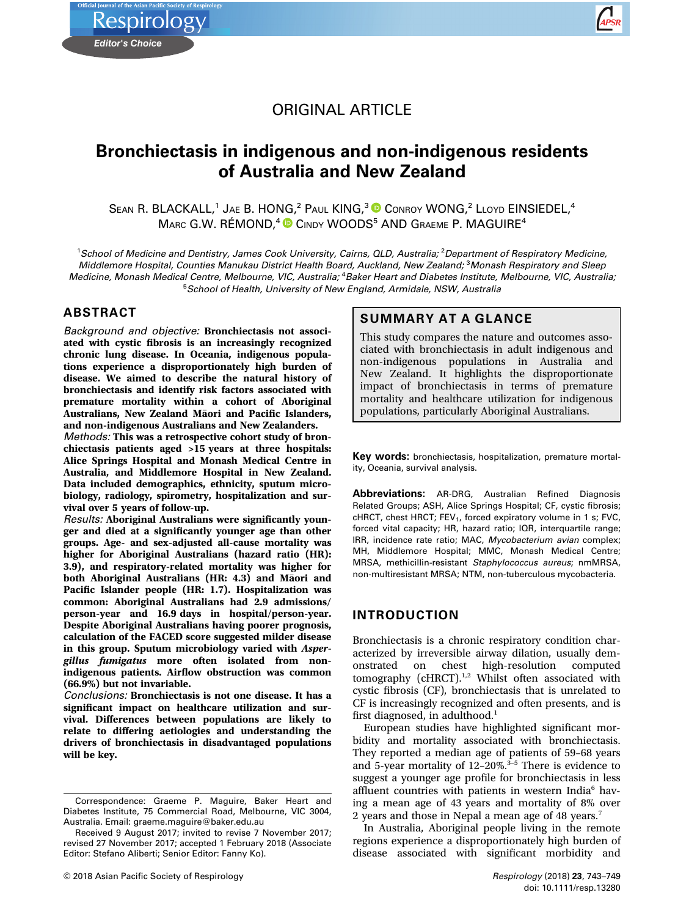ORIGINAL ARTICLE

# Bronchiectasis in indigenous and non-indigenous residents of Australia and New Zealand

SEAN R. BLACKALL,<sup>1</sup> JAE B. HONG,<sup>2</sup> PAUL KING,<sup>3</sup> CONROY WONG,<sup>2</sup> LLOYD EINSIEDEL,<sup>4</sup> MARC G.W. RÉMOND,<sup>4</sup> CINDY WOODS<sup>5</sup> AND GRAEME P. MAGUIRE<sup>4</sup>

<sup>1</sup>School of Medicine and Dentistry, James Cook University, Cairns, QLD, Australia; <sup>2</sup>Department of Respiratory Medicine, Middlemore Hospital, Counties Manukau District Health Board, Auckland, New Zealand; <sup>3</sup>Monash Respiratory and Sleep Medicine, Monash Medical Centre, Melbourne, VIC, Australia; <sup>4</sup>Baker Heart and Diabetes Institute, Melbourne, VIC, Australia, 5 School of Health, University of New England, Armidale, NSW, Australia

#### ABSTRACT

*Editor's Choice*

**Respirology** 

Background and objective: Bronchiectasis not associated with cystic fibrosis is an increasingly recognized chronic lung disease. In Oceania, indigenous populations experience a disproportionately high burden of disease. We aimed to describe the natural history of bronchiectasis and identify risk factors associated with premature mortality within a cohort of Aboriginal Australians, New Zealand Māori and Pacific Islanders, and non-indigenous Australians and New Zealanders.

Methods: This was a retrospective cohort study of bronchiectasis patients aged >15 years at three hospitals: Alice Springs Hospital and Monash Medical Centre in Australia, and Middlemore Hospital in New Zealand. Data included demographics, ethnicity, sputum microbiology, radiology, spirometry, hospitalization and survival over 5 years of follow-up.

Results: Aboriginal Australians were significantly younger and died at a significantly younger age than other groups. Age- and sex-adjusted all-cause mortality was higher for Aboriginal Australians (hazard ratio (HR): 3.9), and respiratory-related mortality was higher for both Aboriginal Australians (HR: 4.3) and Maori and Pacific Islander people (HR: 1.7). Hospitalization was common: Aboriginal Australians had 2.9 admissions/ person-year and 16.9 days in hospital/person-year. Despite Aboriginal Australians having poorer prognosis, calculation of the FACED score suggested milder disease in this group. Sputum microbiology varied with Aspergillus fumigatus more often isolated from nonindigenous patients. Airflow obstruction was common (66.9%) but not invariable.

Conclusions: Bronchiectasis is not one disease. It has a significant impact on healthcare utilization and survival. Differences between populations are likely to relate to differing aetiologies and understanding the drivers of bronchiectasis in disadvantaged populations will be key.

## SUMMARY AT A GLANCE

This study compares the nature and outcomes associated with bronchiectasis in adult indigenous and non-indigenous populations in Australia and New Zealand. It highlights the disproportionate impact of bronchiectasis in terms of premature mortality and healthcare utilization for indigenous populations, particularly Aboriginal Australians.

Key words: bronchiectasis, hospitalization, premature mortality, Oceania, survival analysis.

Abbreviations: AR-DRG, Australian Refined Diagnosis Related Groups; ASH, Alice Springs Hospital; CF, cystic fibrosis; cHRCT, chest HRCT; FEV<sub>1</sub>, forced expiratory volume in 1 s; FVC, forced vital capacity; HR, hazard ratio; IQR, interquartile range; IRR, incidence rate ratio; MAC, Mycobacterium avian complex; MH, Middlemore Hospital; MMC, Monash Medical Centre; MRSA, methicillin-resistant Staphylococcus aureus; nmMRSA, non-multiresistant MRSA; NTM, non-tuberculous mycobacteria.

### INTRODUCTION

Bronchiectasis is a chronic respiratory condition characterized by irreversible airway dilation, usually demhigh-resolution computed tomography  $(cHRT)$ <sup>1,2</sup> Whilst often associated with cystic fibrosis (CF), bronchiectasis that is unrelated to CF is increasingly recognized and often presents, and is first diagnosed, in adulthood.<sup>1</sup>

European studies have highlighted significant morbidity and mortality associated with bronchiectasis. They reported a median age of patients of 59–68 years and 5-year mortality of  $12-20\%$ .<sup>3-5</sup> There is evidence to suggest a younger age profile for bronchiectasis in less affluent countries with patients in western India<sup>6</sup> having a mean age of 43 years and mortality of 8% over 2 years and those in Nepal a mean age of 48 years.<sup>7</sup>

In Australia, Aboriginal people living in the remote regions experience a disproportionately high burden of disease associated with significant morbidity and



Correspondence: Graeme P. Maguire, Baker Heart and Diabetes Institute, 75 Commercial Road, Melbourne, VIC 3004, Australia. Email: graeme.maguire@baker.edu.au

Received 9 August 2017; invited to revise 7 November 2017; revised 27 November 2017; accepted 1 February 2018 (Associate Editor: Stefano Aliberti; Senior Editor: Fanny Ko).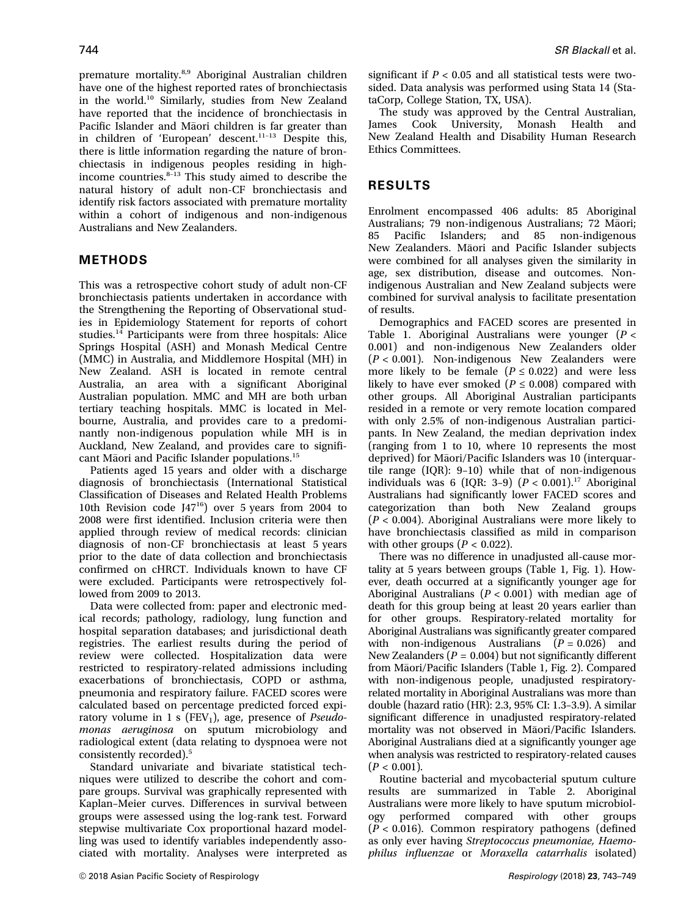premature mortality.8,9 Aboriginal Australian children have one of the highest reported rates of bronchiectasis in the world.<sup>10</sup> Similarly, studies from New Zealand have reported that the incidence of bronchiectasis in Pacific Islander and Māori children is far greater than in children of 'European' descent.<sup>11</sup>–<sup>13</sup> Despite this, there is little information regarding the nature of bronchiectasis in indigenous peoples residing in highincome countries. $8-13$  This study aimed to describe the natural history of adult non-CF bronchiectasis and identify risk factors associated with premature mortality within a cohort of indigenous and non-indigenous Australians and New Zealanders.

### METHODS

This was a retrospective cohort study of adult non-CF bronchiectasis patients undertaken in accordance with the Strengthening the Reporting of Observational studies in Epidemiology Statement for reports of cohort studies. $14$  Participants were from three hospitals: Alice Springs Hospital (ASH) and Monash Medical Centre (MMC) in Australia, and Middlemore Hospital (MH) in New Zealand. ASH is located in remote central Australia, an area with a significant Aboriginal Australian population. MMC and MH are both urban tertiary teaching hospitals. MMC is located in Melbourne, Australia, and provides care to a predominantly non-indigenous population while MH is in Auckland, New Zealand, and provides care to significant Māori and Pacific Islander populations.<sup>15</sup>

Patients aged 15 years and older with a discharge diagnosis of bronchiectasis (International Statistical Classification of Diseases and Related Health Problems 10th Revision code J4716) over 5 years from 2004 to 2008 were first identified. Inclusion criteria were then applied through review of medical records: clinician diagnosis of non-CF bronchiectasis at least 5 years prior to the date of data collection and bronchiectasis confirmed on cHRCT. Individuals known to have CF were excluded. Participants were retrospectively followed from 2009 to 2013.

Data were collected from: paper and electronic medical records; pathology, radiology, lung function and hospital separation databases; and jurisdictional death registries. The earliest results during the period of review were collected. Hospitalization data were restricted to respiratory-related admissions including exacerbations of bronchiectasis, COPD or asthma, pneumonia and respiratory failure. FACED scores were calculated based on percentage predicted forced expiratory volume in 1 s (FEV<sub>1</sub>), age, presence of *Pseudo*monas aeruginosa on sputum microbiology and radiological extent (data relating to dyspnoea were not consistently recorded).<sup>5</sup>

Standard univariate and bivariate statistical techniques were utilized to describe the cohort and compare groups. Survival was graphically represented with Kaplan–Meier curves. Differences in survival between groups were assessed using the log-rank test. Forward stepwise multivariate Cox proportional hazard modelling was used to identify variables independently associated with mortality. Analyses were interpreted as significant if  $P < 0.05$  and all statistical tests were twosided. Data analysis was performed using Stata 14 (StataCorp, College Station, TX, USA).

The study was approved by the Central Australian,<br>James Cook University. Monash Health and Cook University, Monash Health and New Zealand Health and Disability Human Research Ethics Committees.

# RESULTS

Enrolment encompassed 406 adults: 85 Aboriginal Australians; 79 non-indigenous Australians; 72 Maori;<br>85 Pacific Islanders: and 85 non-indigenous Pacific Islanders; and 85 non-indigenous New Zealanders. Maori and Pacific Islander subjects were combined for all analyses given the similarity in age, sex distribution, disease and outcomes. Nonindigenous Australian and New Zealand subjects were combined for survival analysis to facilitate presentation of results.

Demographics and FACED scores are presented in Table 1. Aboriginal Australians were younger  $(P <$ 0.001) and non-indigenous New Zealanders older  $(P < 0.001)$ . Non-indigenous New Zealanders were more likely to be female ( $P \le 0.022$ ) and were less likely to have ever smoked ( $P \leq 0.008$ ) compared with other groups. All Aboriginal Australian participants resided in a remote or very remote location compared with only 2.5% of non-indigenous Australian participants. In New Zealand, the median deprivation index (ranging from 1 to 10, where 10 represents the most deprived) for Māori/Pacific Islanders was 10 (interquartile range (IQR): 9–10) while that of non-indigenous individuals was 6 (IQR: 3-9)  $(P < 0.001)$ .<sup>17</sup> Aboriginal Australians had significantly lower FACED scores and categorization than both New Zealand groups  $(P < 0.004)$ . Aboriginal Australians were more likely to have bronchiectasis classified as mild in comparison with other groups ( $P < 0.022$ ).

There was no difference in unadjusted all-cause mortality at 5 years between groups (Table 1, Fig. 1). However, death occurred at a significantly younger age for Aboriginal Australians ( $P < 0.001$ ) with median age of death for this group being at least 20 years earlier than for other groups. Respiratory-related mortality for Aboriginal Australians was significantly greater compared with non-indigenous Australians  $(P = 0.026)$  and New Zealanders ( $P = 0.004$ ) but not significantly different from Maori/Pacific Islanders (Table 1, Fig. 2). Compared with non-indigenous people, unadjusted respiratoryrelated mortality in Aboriginal Australians was more than double (hazard ratio (HR): 2.3, 95% CI: 1.3–3.9). A similar significant difference in unadjusted respiratory-related mortality was not observed in Māori/Pacific Islanders. Aboriginal Australians died at a significantly younger age when analysis was restricted to respiratory-related causes  $(P < 0.001)$ .

Routine bacterial and mycobacterial sputum culture results are summarized in Table 2. Aboriginal Australians were more likely to have sputum microbiology performed compared with other groups  $(P < 0.016)$ . Common respiratory pathogens (defined as only ever having Streptococcus pneumoniae, Haemophilus influenzae or Moraxella catarrhalis isolated)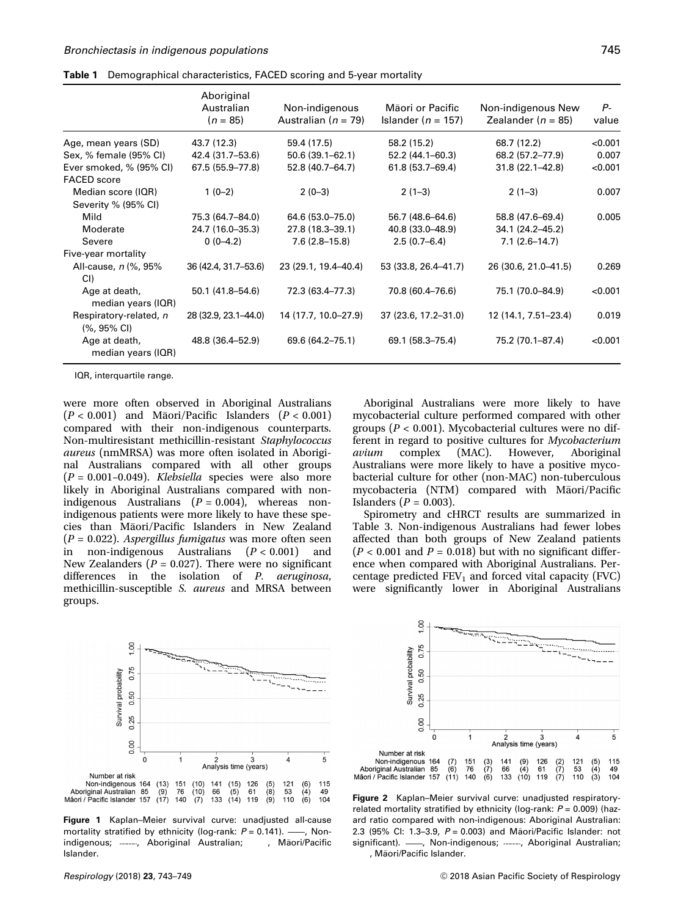|  | Table 1 Demographical characteristics, FACED scoring and 5-year mortality |  |  |
|--|---------------------------------------------------------------------------|--|--|
|--|---------------------------------------------------------------------------|--|--|

|                                                  | Aboriginal<br>Australian<br>$(n = 85)$ | Non-indigenous<br>Australian ( $n = 79$ ) | Māori or Pacific<br>Islander ( $n = 157$ ) | Non-indigenous New<br>Zealander ( $n = 85$ ) | $P-$<br>value |
|--------------------------------------------------|----------------------------------------|-------------------------------------------|--------------------------------------------|----------------------------------------------|---------------|
| Age, mean years (SD)                             | 43.7 (12.3)                            | 59.4 (17.5)                               | 58.2 (15.2)                                | 68.7 (12.2)                                  | < 0.001       |
| Sex, % female (95% CI)                           | 42.4 (31.7–53.6)                       | $50.6(39.1 - 62.1)$                       | 52.2 (44.1-60.3)                           | 68.2 (57.2–77.9)                             | 0.007         |
| Ever smoked, % (95% CI)<br><b>FACED</b> score    | 67.5 (55.9-77.8)                       | 52.8 (40.7-64.7)                          | 61.8 (53.7-69.4)                           | $31.8(22.1 - 42.8)$                          | < 0.001       |
| Median score (IQR)<br>Severity % (95% CI)        | $1(0-2)$                               | $2(0-3)$                                  | $2(1-3)$                                   | $2(1-3)$                                     | 0.007         |
| Mild                                             | 75.3 (64.7-84.0)                       | 64.6 (53.0-75.0)                          | 56.7 (48.6-64.6)                           | 58.8 (47.6-69.4)                             | 0.005         |
| Moderate                                         | 24.7 (16.0-35.3)                       | 27.8 (18.3-39.1)                          | 40.8 (33.0-48.9)                           | 34.1 (24.2-45.2)                             |               |
| Severe                                           | $0(0-4.2)$                             | $7.6(2.8-15.8)$                           | $2.5(0.7-6.4)$                             | $7.1(2.6 - 14.7)$                            |               |
| Five-year mortality                              |                                        |                                           |                                            |                                              |               |
| All-cause, n (%, 95%<br>CI)                      | 36 (42.4, 31.7–53.6)                   | 23 (29.1, 19.4–40.4)                      | 53 (33.8, 26.4–41.7)                       | 26 (30.6, 21.0-41.5)                         | 0.269         |
| Age at death,<br>median years (IQR)              | 50.1 (41.8–54.6)                       | 72.3 (63.4–77.3)                          | 70.8 (60.4-76.6)                           | 75.1 (70.0-84.9)                             | < 0.001       |
| Respiratory-related, n<br>$(%, 95\% \text{ Cl})$ | 28 (32.9, 23.1–44.0)                   | 14 (17.7, 10.0–27.9)                      | 37 (23.6, 17.2-31.0)                       | 12 (14.1, 7.51–23.4)                         | 0.019         |
| Age at death,<br>median years (IQR)              | 48.8 (36.4–52.9)                       | 69.6 (64.2-75.1)                          | 69.1 (58.3-75.4)                           | 75.2 (70.1-87.4)                             | < 0.001       |

IQR, interquartile range.

were more often observed in Aboriginal Australians  $(P < 0.001)$  and Māori/Pacific Islanders  $(P < 0.001)$ compared with their non-indigenous counterparts. Non-multiresistant methicillin-resistant Staphylococcus aureus (nmMRSA) was more often isolated in Aboriginal Australians compared with all other groups  $(P = 0.001 - 0.049)$ . Klebsiella species were also more likely in Aboriginal Australians compared with nonindigenous Australians  $(P = 0.004)$ , whereas nonindigenous patients were more likely to have these species than Maori/Pacific Islanders in New Zealand  $(P = 0.022)$ . Aspergillus fumigatus was more often seen in non-indigenous Australians (P < 0.001) and New Zealanders ( $P = 0.027$ ). There were no significant differences in the isolation of P. aeruginosa, methicillin-susceptible S. aureus and MRSA between groups.

Aboriginal Australians were more likely to have mycobacterial culture performed compared with other groups ( $P < 0.001$ ). Mycobacterial cultures were no different in regard to positive cultures for Mycobacterium avium complex (MAC). However, Aboriginal Australians were more likely to have a positive mycobacterial culture for other (non-MAC) non-tuberculous mycobacteria (NTM) compared with Maori/Pacific Islanders ( $P = 0.003$ ).

Spirometry and cHRCT results are summarized in Table 3. Non-indigenous Australians had fewer lobes affected than both groups of New Zealand patients  $(P < 0.001$  and  $P = 0.018$ ) but with no significant difference when compared with Aboriginal Australians. Percentage predicted  $FEV_1$  and forced vital capacity (FVC) were significantly lower in Aboriginal Australians



Figure 1 Kaplan–Meier survival curve: unadjusted all-cause mortality stratified by ethnicity (log-rank:  $P = 0.141$ ). -, Nonindigenous; -----, Aboriginal Australian; -------, Māori/Pacific Islander.



Figure 2 Kaplan–Meier survival curve: unadjusted respiratoryrelated mortality stratified by ethnicity (log-rank:  $P = 0.009$ ) (hazard ratio compared with non-indigenous: Aboriginal Australian: 2.3 (95% CI: 1.3-3.9,  $P = 0.003$ ) and Māori/Pacific Islander: not significant). - , Non-indigenous; -----, Aboriginal Australian; ..., Māori/Pacific Islander.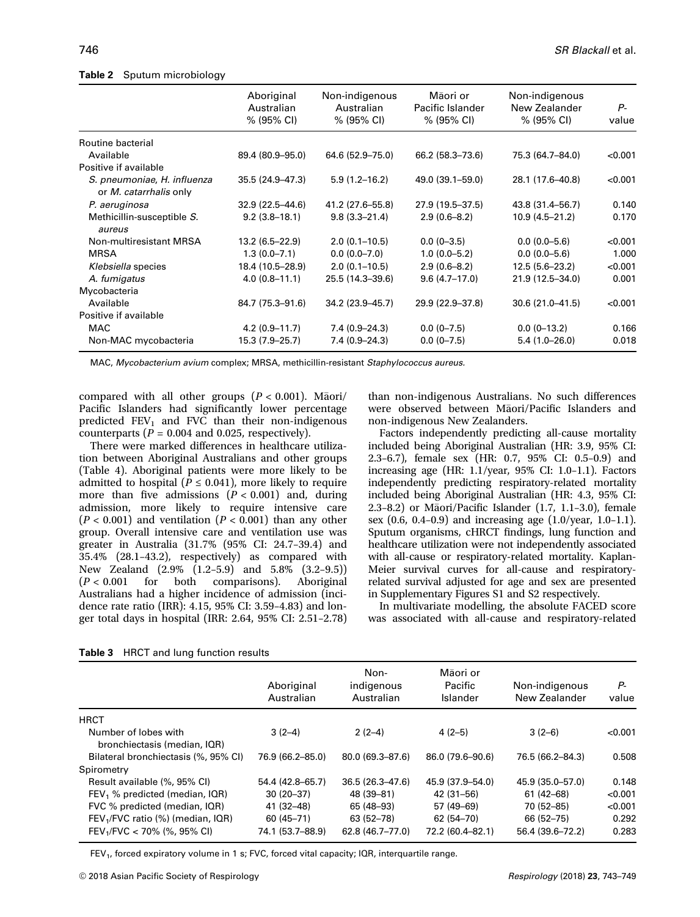|                                                              | Aboriginal          | Non-indigenous    | Māori or         | Non-indigenous     |         |  |
|--------------------------------------------------------------|---------------------|-------------------|------------------|--------------------|---------|--|
|                                                              | Australian          | Australian        | Pacific Islander | New Zealander      | Ρ-      |  |
|                                                              | % (95% CI)          | % (95% CI)        | % (95% CI)       | % (95% CI)         | value   |  |
| Routine bacterial                                            |                     |                   |                  |                    |         |  |
| Available                                                    | 89.4 (80.9-95.0)    | 64.6 (52.9–75.0)  | 66.2 (58.3–73.6) | 75.3 (64.7-84.0)   | < 0.001 |  |
| Positive if available                                        |                     |                   |                  |                    |         |  |
| S. pneumoniae, H. influenza<br>or <i>M. catarrhalis</i> only | 35.5 (24.9-47.3)    | $5.9(1.2 - 16.2)$ | 49.0 (39.1-59.0) | 28.1 (17.6-40.8)   | < 0.001 |  |
| P. aeruginosa                                                | $32.9(22.5 - 44.6)$ | 41.2 (27.6–55.8)  | 27.9 (19.5–37.5) | 43.8 (31.4–56.7)   | 0.140   |  |
| Methicillin-susceptible S.<br>aureus                         | $9.2(3.8-18.1)$     | $9.8(3.3 - 21.4)$ | $2.9(0.6-8.2)$   | $10.9(4.5 - 21.2)$ | 0.170   |  |
| Non-multiresistant MRSA                                      | $13.2(6.5 - 22.9)$  | $2.0(0.1-10.5)$   | $0.0(0-3.5)$     | $0.0(0.0 - 5.6)$   | < 0.001 |  |
| <b>MRSA</b>                                                  | $1.3(0.0 - 7.1)$    | $0.0 (0.0 - 7.0)$ | $1.0(0.0 - 5.2)$ | $0.0(0.0 - 5.6)$   | 1.000   |  |
| Klebsiella species                                           | 18.4 (10.5-28.9)    | $2.0(0.1 - 10.5)$ | $2.9(0.6 - 8.2)$ | $12.5(5.6-23.2)$   | < 0.001 |  |
| A. fumigatus                                                 | $4.0(0.8 - 11.1)$   | 25.5 (14.3-39.6)  | $9.6(4.7-17.0)$  | 21.9 (12.5-34.0)   | 0.001   |  |
| Mycobacteria                                                 |                     |                   |                  |                    |         |  |
| Available                                                    | 84.7 (75.3-91.6)    | 34.2 (23.9–45.7)  | 29.9 (22.9–37.8) | 30.6 (21.0-41.5)   | < 0.001 |  |
| Positive if available                                        |                     |                   |                  |                    |         |  |
| MAC                                                          | $4.2(0.9 - 11.7)$   | $7.4(0.9 - 24.3)$ | $0.0(0 - 7.5)$   | $0.0(0-13.2)$      | 0.166   |  |
| Non-MAC mycobacteria                                         | $15.3(7.9-25.7)$    | $7.4(0.9 - 24.3)$ | $0.0(0 - 7.5)$   | $5.4(1.0-26.0)$    | 0.018   |  |

#### Table 2 Sputum microbiology

MAC, Mycobacterium avium complex; MRSA, methicillin-resistant Staphylococcus aureus.

compared with all other groups  $(P < 0.001)$ . Maori/ Pacific Islanders had significantly lower percentage predicted  $FEV_1$  and  $FVC$  than their non-indigenous counterparts ( $P = 0.004$  and 0.025, respectively).

There were marked differences in healthcare utilization between Aboriginal Australians and other groups (Table 4). Aboriginal patients were more likely to be admitted to hospital ( $P \le 0.041$ ), more likely to require more than five admissions  $(P < 0.001)$  and, during admission, more likely to require intensive care  $(P < 0.001)$  and ventilation  $(P < 0.001)$  than any other group. Overall intensive care and ventilation use was greater in Australia (31.7% (95% CI: 24.7–39.4) and 35.4% (28.1–43.2), respectively) as compared with New Zealand  $(2.9\% (1.2-5.9)$  and  $5.8\% (3.2-9.5))$ <br> $(P < 0.001$  for both comparisons). Aboriginal both comparisons). Australians had a higher incidence of admission (incidence rate ratio (IRR): 4.15, 95% CI: 3.59–4.83) and longer total days in hospital (IRR: 2.64, 95% CI: 2.51–2.78) than non-indigenous Australians. No such differences were observed between Maori/Pacific Islanders and non-indigenous New Zealanders.

Factors independently predicting all-cause mortality included being Aboriginal Australian (HR: 3.9, 95% CI: 2.3–6.7), female sex (HR: 0.7, 95% CI: 0.5–0.9) and increasing age (HR: 1.1/year, 95% CI: 1.0–1.1). Factors independently predicting respiratory-related mortality included being Aboriginal Australian (HR: 4.3, 95% CI: 2.3–8.2) or Maori/Pacific Islander (1.7, 1.1–3.0), female sex (0.6, 0.4–0.9) and increasing age (1.0/year, 1.0–1.1). Sputum organisms, cHRCT findings, lung function and healthcare utilization were not independently associated with all-cause or respiratory-related mortality. Kaplan-Meier survival curves for all-cause and respiratoryrelated survival adjusted for age and sex are presented in Supplementary Figures S1 and S2 respectively.

In multivariate modelling, the absolute FACED score was associated with all-cause and respiratory-related

|  |  |  |  | <b>Table 3</b> HRCT and lung function results |  |
|--|--|--|--|-----------------------------------------------|--|
|--|--|--|--|-----------------------------------------------|--|

|                                                      | Aboriginal<br>Australian | Non-<br>indigenous<br>Australian | Māori or<br>Pacific<br>Islander | Non-indigenous<br>New Zealander | P-<br>value |
|------------------------------------------------------|--------------------------|----------------------------------|---------------------------------|---------------------------------|-------------|
| <b>HRCT</b>                                          |                          |                                  |                                 |                                 |             |
| Number of lobes with<br>bronchiectasis (median, IQR) | $3(2-4)$                 | $2(2-4)$                         | $4(2-5)$                        | $3(2-6)$                        | < 0.001     |
| Bilateral bronchiectasis (%, 95% CI)                 | 76.9 (66.2-85.0)         | 80.0 (69.3-87.6)                 | 86.0 (79.6-90.6)                | 76.5 (66.2-84.3)                | 0.508       |
| Spirometry                                           |                          |                                  |                                 |                                 |             |
| Result available (%, 95% CI)                         | 54.4 (42.8–65.7)         | $36.5(26.3 - 47.6)$              | 45.9 (37.9–54.0)                | 45.9 (35.0–57.0)                | 0.148       |
| $FEV1$ % predicted (median, IQR)                     | $30(20-37)$              | 48 (39-81)                       | 42 (31-56)                      | $61(42 - 68)$                   | < 0.001     |
| FVC % predicted (median, IQR)                        | $41(32 - 48)$            | 65 (48-93)                       | 57 (49-69)                      | 70 (52-85)                      | < 0.001     |
| FEV <sub>1</sub> /FVC ratio (%) (median, IQR)        | $60(45 - 71)$            | 63 (52-78)                       | 62 (54-70)                      | 66 (52-75)                      | 0.292       |
| $FEV1/FVC < 70\%$ (%, 95% CI)                        | 74.1 (53.7–88.9)         | 62.8 (46.7-77.0)                 | 72.2 (60.4-82.1)                | 56.4 (39.6-72.2)                | 0.283       |

FEV<sub>1</sub>, forced expiratory volume in 1 s; FVC, forced vital capacity; IQR, interquartile range.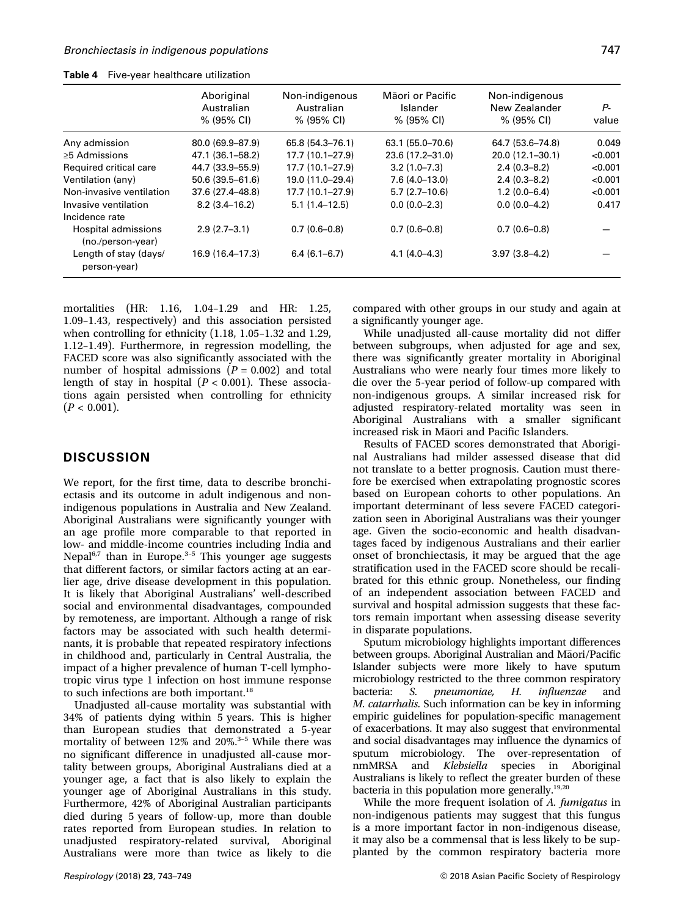|                                          | Aboriginal<br>Australian<br>% (95% CI) | Non-indigenous<br>Australian<br>% (95% CI) | Māori or Pacific<br>Islander<br>% (95% CI) | Non-indigenous<br>New Zealander<br>% (95% CI) | Ρ-<br>value |
|------------------------------------------|----------------------------------------|--------------------------------------------|--------------------------------------------|-----------------------------------------------|-------------|
| Any admission                            | 80.0 (69.9-87.9)                       | 65.8 (54.3-76.1)                           | 63.1 (55.0-70.6)                           | 64.7 (53.6–74.8)                              | 0.049       |
| $\geq$ 5 Admissions                      | 47.1 (36.1–58.2)                       | 17.7 (10.1-27.9)                           | 23.6 (17.2-31.0)                           | 20.0 (12.1-30.1)                              | < 0.001     |
| Required critical care                   | 44.7 (33.9-55.9)                       | 17.7 (10.1-27.9)                           | $3.2(1.0 - 7.3)$                           | $2.4(0.3 - 8.2)$                              | < 0.001     |
| Ventilation (any)                        | $50.6(39.5 - 61.6)$                    | 19.0 (11.0-29.4)                           | $7.6(4.0-13.0)$                            | $2.4(0.3 - 8.2)$                              | < 0.001     |
| Non-invasive ventilation                 | 37.6 (27.4-48.8)                       | 17.7 (10.1-27.9)                           | $5.7(2.7-10.6)$                            | $1.2(0.0-6.4)$                                | < 0.001     |
| Invasive ventilation<br>Incidence rate   | $8.2(3.4 - 16.2)$                      | $5.1(1.4 - 12.5)$                          | $0.0(0.0-2.3)$                             | $0.0(0.0-4.2)$                                | 0.417       |
| Hospital admissions<br>(no./person-year) | $2.9(2.7-3.1)$                         | $0.7(0.6-0.8)$                             | $0.7(0.6-0.8)$                             | $0.7(0.6-0.8)$                                |             |
| Length of stay (days/<br>person-year)    | 16.9 (16.4-17.3)                       | $6.4(6.1 - 6.7)$                           | $4.1(4.0 - 4.3)$                           | $3.97(3.8 - 4.2)$                             |             |

Table 4 Five-year healthcare utilization

mortalities (HR: 1.16, 1.04–1.29 and HR: 1.25, 1.09–1.43, respectively) and this association persisted when controlling for ethnicity (1.18, 1.05–1.32 and 1.29, 1.12–1.49). Furthermore, in regression modelling, the FACED score was also significantly associated with the number of hospital admissions  $(P = 0.002)$  and total length of stay in hospital  $(P < 0.001)$ . These associations again persisted when controlling for ethnicity  $(P < 0.001)$ .

### **DISCUSSION**

We report, for the first time, data to describe bronchiectasis and its outcome in adult indigenous and nonindigenous populations in Australia and New Zealand. Aboriginal Australians were significantly younger with an age profile more comparable to that reported in low- and middle-income countries including India and Nepal $6,7$  than in Europe.<sup>3-5</sup> This younger age suggests that different factors, or similar factors acting at an earlier age, drive disease development in this population. It is likely that Aboriginal Australians' well-described social and environmental disadvantages, compounded by remoteness, are important. Although a range of risk factors may be associated with such health determinants, it is probable that repeated respiratory infections in childhood and, particularly in Central Australia, the impact of a higher prevalence of human T-cell lymphotropic virus type 1 infection on host immune response to such infections are both important.<sup>18</sup>

Unadjusted all-cause mortality was substantial with 34% of patients dying within 5 years. This is higher than European studies that demonstrated a 5-year mortality of between 12% and 20%.<sup>3-5</sup> While there was no significant difference in unadjusted all-cause mortality between groups, Aboriginal Australians died at a younger age, a fact that is also likely to explain the younger age of Aboriginal Australians in this study. Furthermore, 42% of Aboriginal Australian participants died during 5 years of follow-up, more than double rates reported from European studies. In relation to unadjusted respiratory-related survival, Aboriginal Australians were more than twice as likely to die

compared with other groups in our study and again at a significantly younger age.

While unadjusted all-cause mortality did not differ between subgroups, when adjusted for age and sex, there was significantly greater mortality in Aboriginal Australians who were nearly four times more likely to die over the 5-year period of follow-up compared with non-indigenous groups. A similar increased risk for adjusted respiratory-related mortality was seen in Aboriginal Australians with a smaller significant increased risk in Māori and Pacific Islanders.

Results of FACED scores demonstrated that Aboriginal Australians had milder assessed disease that did not translate to a better prognosis. Caution must therefore be exercised when extrapolating prognostic scores based on European cohorts to other populations. An important determinant of less severe FACED categorization seen in Aboriginal Australians was their younger age. Given the socio-economic and health disadvantages faced by indigenous Australians and their earlier onset of bronchiectasis, it may be argued that the age stratification used in the FACED score should be recalibrated for this ethnic group. Nonetheless, our finding of an independent association between FACED and survival and hospital admission suggests that these factors remain important when assessing disease severity in disparate populations.

Sputum microbiology highlights important differences between groups. Aboriginal Australian and Māori/Pacific Islander subjects were more likely to have sputum microbiology restricted to the three common respiratory bacteria: S. pneumoniae, H. influenzae and M. catarrhalis. Such information can be key in informing empiric guidelines for population-specific management of exacerbations. It may also suggest that environmental and social disadvantages may influence the dynamics of sputum microbiology. The over-representation of nmMRSA and Klebsiella species in Aboriginal Australians is likely to reflect the greater burden of these bacteria in this population more generally.<sup>19,20</sup>

While the more frequent isolation of A. fumigatus in non-indigenous patients may suggest that this fungus is a more important factor in non-indigenous disease, it may also be a commensal that is less likely to be supplanted by the common respiratory bacteria more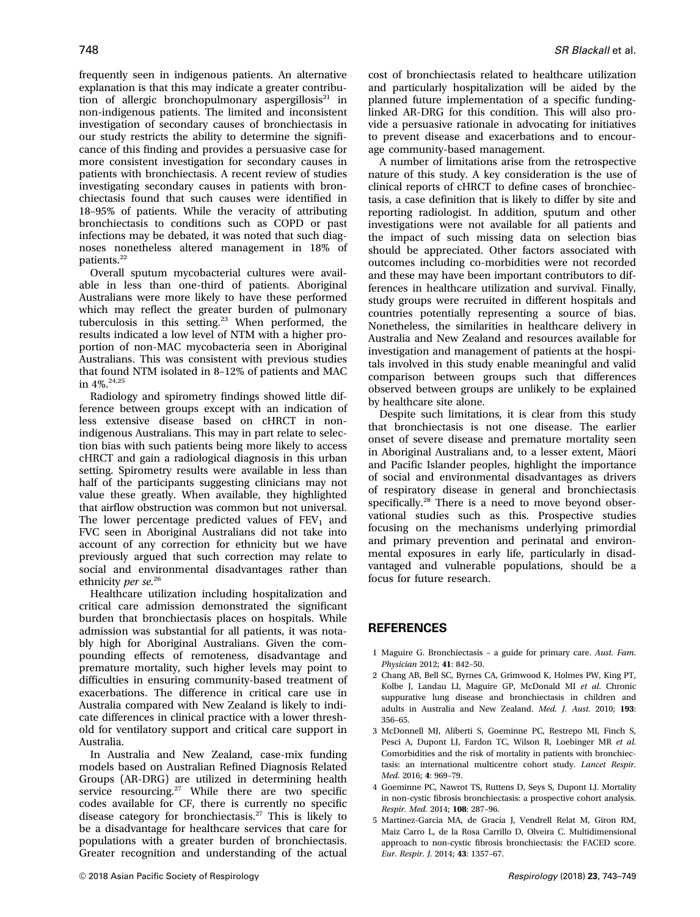frequently seen in indigenous patients. An alternative explanation is that this may indicate a greater contribution of allergic bronchopulmonary aspergillosis $21$  in non-indigenous patients. The limited and inconsistent investigation of secondary causes of bronchiectasis in our study restricts the ability to determine the significance of this finding and provides a persuasive case for more consistent investigation for secondary causes in patients with bronchiectasis. A recent review of studies investigating secondary causes in patients with bronchiectasis found that such causes were identified in 18–95% of patients. While the veracity of attributing bronchiectasis to conditions such as COPD or past infections may be debated, it was noted that such diagnoses nonetheless altered management in 18% of patients.<sup>22</sup>

Overall sputum mycobacterial cultures were available in less than one-third of patients. Aboriginal Australians were more likely to have these performed which may reflect the greater burden of pulmonary tuberculosis in this setting.<sup>23</sup> When performed, the results indicated a low level of NTM with a higher proportion of non-MAC mycobacteria seen in Aboriginal Australians. This was consistent with previous studies that found NTM isolated in 8–12% of patients and MAC in 4%.24,25

Radiology and spirometry findings showed little difference between groups except with an indication of less extensive disease based on cHRCT in nonindigenous Australians. This may in part relate to selection bias with such patients being more likely to access cHRCT and gain a radiological diagnosis in this urban setting. Spirometry results were available in less than half of the participants suggesting clinicians may not value these greatly. When available, they highlighted that airflow obstruction was common but not universal. The lower percentage predicted values of  $FEV<sub>1</sub>$  and FVC seen in Aboriginal Australians did not take into account of any correction for ethnicity but we have previously argued that such correction may relate to social and environmental disadvantages rather than ethnicity *per se.*<sup>26</sup>

Healthcare utilization including hospitalization and critical care admission demonstrated the significant burden that bronchiectasis places on hospitals. While admission was substantial for all patients, it was notably high for Aboriginal Australians. Given the compounding effects of remoteness, disadvantage and premature mortality, such higher levels may point to difficulties in ensuring community-based treatment of exacerbations. The difference in critical care use in Australia compared with New Zealand is likely to indicate differences in clinical practice with a lower threshold for ventilatory support and critical care support in Australia.

In Australia and New Zealand, case-mix funding models based on Australian Refined Diagnosis Related Groups (AR-DRG) are utilized in determining health service resourcing.<sup>27</sup> While there are two specific codes available for CF, there is currently no specific disease category for bronchiectasis.<sup>27</sup> This is likely to be a disadvantage for healthcare services that care for populations with a greater burden of bronchiectasis. Greater recognition and understanding of the actual cost of bronchiectasis related to healthcare utilization and particularly hospitalization will be aided by the planned future implementation of a specific fundinglinked AR-DRG for this condition. This will also provide a persuasive rationale in advocating for initiatives to prevent disease and exacerbations and to encourage community-based management.

A number of limitations arise from the retrospective nature of this study. A key consideration is the use of clinical reports of cHRCT to define cases of bronchiectasis, a case definition that is likely to differ by site and reporting radiologist. In addition, sputum and other investigations were not available for all patients and the impact of such missing data on selection bias should be appreciated. Other factors associated with outcomes including co-morbidities were not recorded and these may have been important contributors to differences in healthcare utilization and survival. Finally, study groups were recruited in different hospitals and countries potentially representing a source of bias. Nonetheless, the similarities in healthcare delivery in Australia and New Zealand and resources available for investigation and management of patients at the hospitals involved in this study enable meaningful and valid comparison between groups such that differences observed between groups are unlikely to be explained by healthcare site alone.

Despite such limitations, it is clear from this study that bronchiectasis is not one disease. The earlier onset of severe disease and premature mortality seen in Aboriginal Australians and, to a lesser extent, Maori and Pacific Islander peoples, highlight the importance of social and environmental disadvantages as drivers of respiratory disease in general and bronchiectasis specifically.<sup>28</sup> There is a need to move beyond observational studies such as this. Prospective studies focusing on the mechanisms underlying primordial and primary prevention and perinatal and environmental exposures in early life, particularly in disadvantaged and vulnerable populations, should be a focus for future research.

### REFERENCES

- 1 Maguire G. Bronchiectasis a guide for primary care. Aust. Fam. Physician 2012; 41: 842–50.
- 2 Chang AB, Bell SC, Byrnes CA, Grimwood K, Holmes PW, King PT, Kolbe J, Landau LI, Maguire GP, McDonald MI et al. Chronic suppurative lung disease and bronchiectasis in children and adults in Australia and New Zealand. Med. J. Aust. 2010; 193: 356–65.
- 3 McDonnell MJ, Aliberti S, Goeminne PC, Restrepo MI, Finch S, Pesci A, Dupont LJ, Fardon TC, Wilson R, Loebinger MR et al. Comorbidities and the risk of mortality in patients with bronchiectasis: an international multicentre cohort study. Lancet Respir. Med. 2016; 4: 969–79.
- 4 Goeminne PC, Nawrot TS, Ruttens D, Seys S, Dupont LJ. Mortality in non-cystic fibrosis bronchiectasis: a prospective cohort analysis. Respir. Med. 2014; 108: 287–96.
- 5 Martinez-Garcia MA, de Gracia J, Vendrell Relat M, Giron RM, Maiz Carro L, de la Rosa Carrillo D, Olveira C. Multidimensional approach to non-cystic fibrosis bronchiectasis: the FACED score. Eur. Respir. J. 2014; 43: 1357–67.